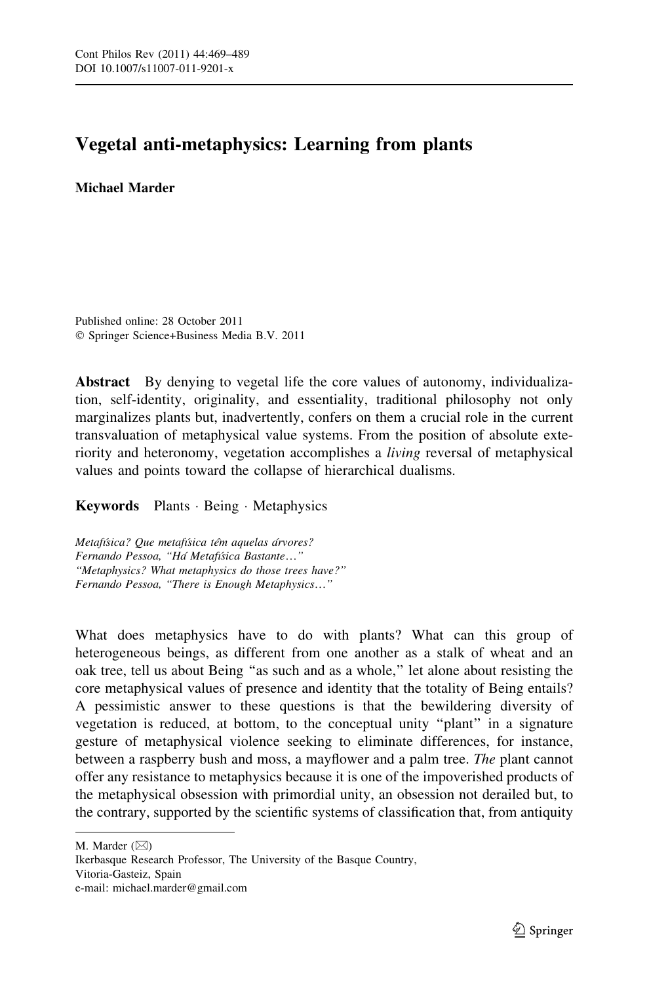# Vegetal anti-metaphysics: Learning from plants

## Michael Marder

Published online: 28 October 2011 - Springer Science+Business Media B.V. 2011

Abstract By denying to vegetal life the core values of autonomy, individualization, self-identity, originality, and essentiality, traditional philosophy not only marginalizes plants but, inadvertently, confers on them a crucial role in the current transvaluation of metaphysical value systems. From the position of absolute exteriority and heteronomy, vegetation accomplishes a living reversal of metaphysical values and points toward the collapse of hierarchical dualisms.

## Keywords Plants · Being · Metaphysics

Metafísica? Que metafísica têm aquelas árvores? Fernando Pessoa, ''Ha´ Metafı´sica Bastante…'' ''Metaphysics? What metaphysics do those trees have?'' Fernando Pessoa, ''There is Enough Metaphysics…''

What does metaphysics have to do with plants? What can this group of heterogeneous beings, as different from one another as a stalk of wheat and an oak tree, tell us about Being ''as such and as a whole,'' let alone about resisting the core metaphysical values of presence and identity that the totality of Being entails? A pessimistic answer to these questions is that the bewildering diversity of vegetation is reduced, at bottom, to the conceptual unity ''plant'' in a signature gesture of metaphysical violence seeking to eliminate differences, for instance, between a raspberry bush and moss, a mayflower and a palm tree. The plant cannot offer any resistance to metaphysics because it is one of the impoverished products of the metaphysical obsession with primordial unity, an obsession not derailed but, to the contrary, supported by the scientific systems of classification that, from antiquity

Ikerbasque Research Professor, The University of the Basque Country, Vitoria-Gasteiz, Spain

e-mail: michael.marder@gmail.com

M. Marder  $(\boxtimes)$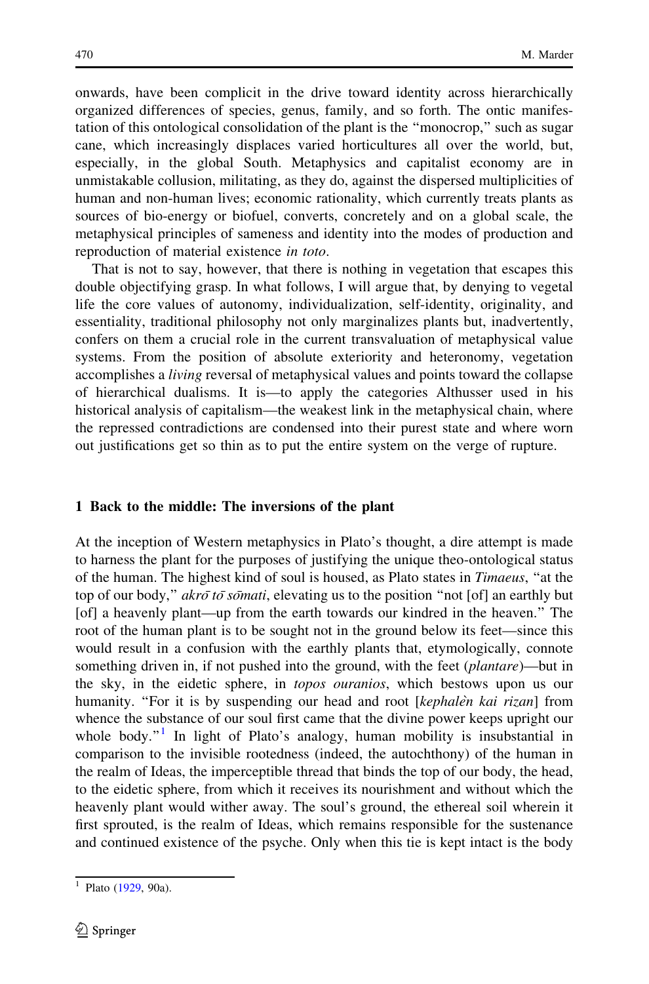onwards, have been complicit in the drive toward identity across hierarchically organized differences of species, genus, family, and so forth. The ontic manifestation of this ontological consolidation of the plant is the ''monocrop,'' such as sugar cane, which increasingly displaces varied horticultures all over the world, but, especially, in the global South. Metaphysics and capitalist economy are in unmistakable collusion, militating, as they do, against the dispersed multiplicities of human and non-human lives; economic rationality, which currently treats plants as sources of bio-energy or biofuel, converts, concretely and on a global scale, the metaphysical principles of sameness and identity into the modes of production and reproduction of material existence in toto.

That is not to say, however, that there is nothing in vegetation that escapes this double objectifying grasp. In what follows, I will argue that, by denying to vegetal life the core values of autonomy, individualization, self-identity, originality, and essentiality, traditional philosophy not only marginalizes plants but, inadvertently, confers on them a crucial role in the current transvaluation of metaphysical value systems. From the position of absolute exteriority and heteronomy, vegetation accomplishes a living reversal of metaphysical values and points toward the collapse of hierarchical dualisms. It is—to apply the categories Althusser used in his historical analysis of capitalism—the weakest link in the metaphysical chain, where the repressed contradictions are condensed into their purest state and where worn out justifications get so thin as to put the entire system on the verge of rupture.

### 1 Back to the middle: The inversions of the plant

At the inception of Western metaphysics in Plato's thought, a dire attempt is made to harness the plant for the purposes of justifying the unique theo-ontological status of the human. The highest kind of soul is housed, as Plato states in Timaeus, ''at the top of our body," akro to somati, elevating us to the position "not [of] an earthly but [of] a heavenly plant—up from the earth towards our kindred in the heaven.'' The root of the human plant is to be sought not in the ground below its feet—since this would result in a confusion with the earthly plants that, etymologically, connote something driven in, if not pushed into the ground, with the feet (*plantare*)—but in the sky, in the eidetic sphere, in topos ouranios, which bestows upon us our humanity. "For it is by suspending our head and root [kephalen kai rizan] from whence the substance of our soul first came that the divine power keeps upright our whole body."<sup>1</sup> In light of Plato's analogy, human mobility is insubstantial in comparison to the invisible rootedness (indeed, the autochthony) of the human in the realm of Ideas, the imperceptible thread that binds the top of our body, the head, to the eidetic sphere, from which it receives its nourishment and without which the heavenly plant would wither away. The soul's ground, the ethereal soil wherein it first sprouted, is the realm of Ideas, which remains responsible for the sustenance and continued existence of the psyche. Only when this tie is kept intact is the body

Plato ([1929,](#page-20-0) 90a).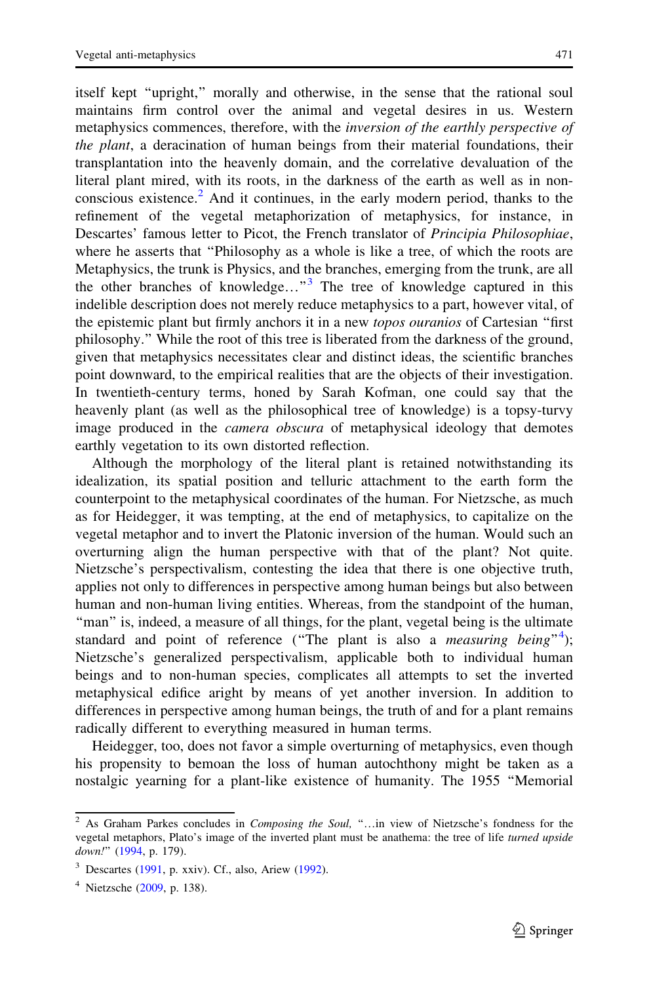itself kept ''upright,'' morally and otherwise, in the sense that the rational soul maintains firm control over the animal and vegetal desires in us. Western metaphysics commences, therefore, with the *inversion of the earthly perspective of* the plant, a deracination of human beings from their material foundations, their transplantation into the heavenly domain, and the correlative devaluation of the literal plant mired, with its roots, in the darkness of the earth as well as in nonconscious existence.<sup>2</sup> And it continues, in the early modern period, thanks to the refinement of the vegetal metaphorization of metaphysics, for instance, in Descartes' famous letter to Picot, the French translator of Principia Philosophiae, where he asserts that ''Philosophy as a whole is like a tree, of which the roots are Metaphysics, the trunk is Physics, and the branches, emerging from the trunk, are all the other branches of knowledge..."<sup>3</sup> The tree of knowledge captured in this indelible description does not merely reduce metaphysics to a part, however vital, of the epistemic plant but firmly anchors it in a new *topos ouranios* of Cartesian "first philosophy.'' While the root of this tree is liberated from the darkness of the ground, given that metaphysics necessitates clear and distinct ideas, the scientific branches point downward, to the empirical realities that are the objects of their investigation. In twentieth-century terms, honed by Sarah Kofman, one could say that the heavenly plant (as well as the philosophical tree of knowledge) is a topsy-turvy image produced in the *camera obscura* of metaphysical ideology that demotes earthly vegetation to its own distorted reflection.

Although the morphology of the literal plant is retained notwithstanding its idealization, its spatial position and telluric attachment to the earth form the counterpoint to the metaphysical coordinates of the human. For Nietzsche, as much as for Heidegger, it was tempting, at the end of metaphysics, to capitalize on the vegetal metaphor and to invert the Platonic inversion of the human. Would such an overturning align the human perspective with that of the plant? Not quite. Nietzsche's perspectivalism, contesting the idea that there is one objective truth, applies not only to differences in perspective among human beings but also between human and non-human living entities. Whereas, from the standpoint of the human, ''man'' is, indeed, a measure of all things, for the plant, vegetal being is the ultimate standard and point of reference ("The plant is also a *measuring being*"<sup>4</sup>); Nietzsche's generalized perspectivalism, applicable both to individual human beings and to non-human species, complicates all attempts to set the inverted metaphysical edifice aright by means of yet another inversion. In addition to differences in perspective among human beings, the truth of and for a plant remains radically different to everything measured in human terms.

Heidegger, too, does not favor a simple overturning of metaphysics, even though his propensity to bemoan the loss of human autochthony might be taken as a nostalgic yearning for a plant-like existence of humanity. The 1955 ''Memorial

<sup>&</sup>lt;sup>2</sup> As Graham Parkes concludes in *Composing the Soul*, "...in view of Nietzsche's fondness for the vegetal metaphors, Plato's image of the inverted plant must be anathema: the tree of life turned upside down!" ([1994](#page-19-0), p. 179).

 $3$  Descartes [\(1991](#page-19-0), p. xxiv). Cf., also, Ariew [\(1992\)](#page-19-0).

 $4$  Nietzsche ([2009,](#page-19-0) p. 138).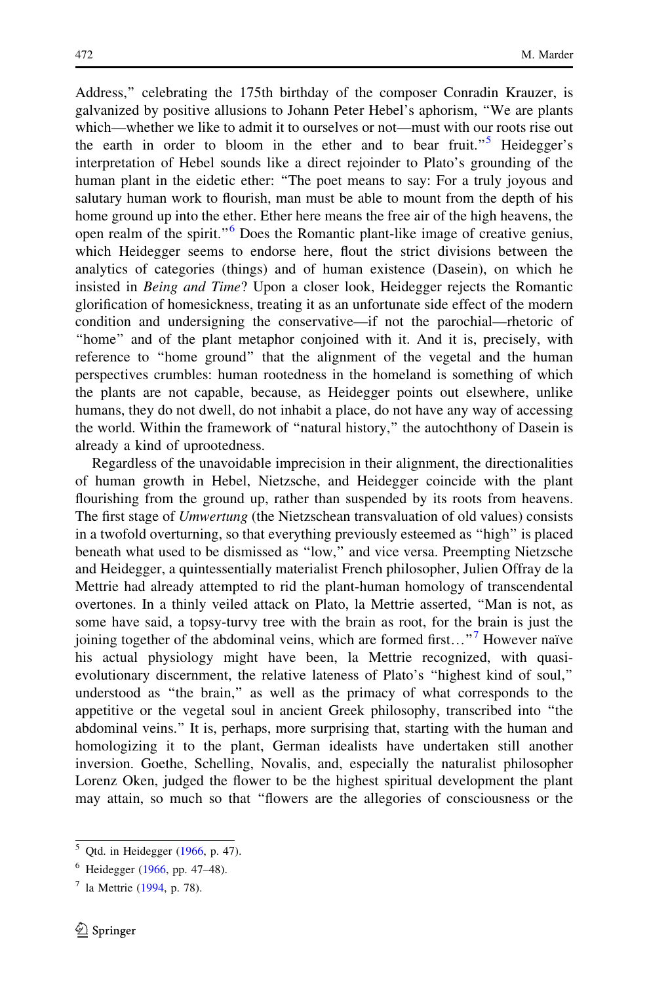Address,'' celebrating the 175th birthday of the composer Conradin Krauzer, is galvanized by positive allusions to Johann Peter Hebel's aphorism, ''We are plants which—whether we like to admit it to ourselves or not—must with our roots rise out the earth in order to bloom in the ether and to bear fruit."<sup>5</sup> Heidegger's interpretation of Hebel sounds like a direct rejoinder to Plato's grounding of the human plant in the eidetic ether: ''The poet means to say: For a truly joyous and salutary human work to flourish, man must be able to mount from the depth of his home ground up into the ether. Ether here means the free air of the high heavens, the open realm of the spirit."<sup>6</sup> Does the Romantic plant-like image of creative genius, which Heidegger seems to endorse here, flout the strict divisions between the analytics of categories (things) and of human existence (Dasein), on which he insisted in Being and Time? Upon a closer look, Heidegger rejects the Romantic glorification of homesickness, treating it as an unfortunate side effect of the modern condition and undersigning the conservative—if not the parochial—rhetoric of "home" and of the plant metaphor conjoined with it. And it is, precisely, with reference to ''home ground'' that the alignment of the vegetal and the human perspectives crumbles: human rootedness in the homeland is something of which the plants are not capable, because, as Heidegger points out elsewhere, unlike humans, they do not dwell, do not inhabit a place, do not have any way of accessing the world. Within the framework of ''natural history,'' the autochthony of Dasein is already a kind of uprootedness.

Regardless of the unavoidable imprecision in their alignment, the directionalities of human growth in Hebel, Nietzsche, and Heidegger coincide with the plant flourishing from the ground up, rather than suspended by its roots from heavens. The first stage of Umwertung (the Nietzschean transvaluation of old values) consists in a twofold overturning, so that everything previously esteemed as ''high'' is placed beneath what used to be dismissed as ''low,'' and vice versa. Preempting Nietzsche and Heidegger, a quintessentially materialist French philosopher, Julien Offray de la Mettrie had already attempted to rid the plant-human homology of transcendental overtones. In a thinly veiled attack on Plato, la Mettrie asserted, ''Man is not, as some have said, a topsy-turvy tree with the brain as root, for the brain is just the joining together of the abdominal veins, which are formed first..."<sup>7</sup> However naïve his actual physiology might have been, la Mettrie recognized, with quasievolutionary discernment, the relative lateness of Plato's ''highest kind of soul,'' understood as ''the brain,'' as well as the primacy of what corresponds to the appetitive or the vegetal soul in ancient Greek philosophy, transcribed into ''the abdominal veins.'' It is, perhaps, more surprising that, starting with the human and homologizing it to the plant, German idealists have undertaken still another inversion. Goethe, Schelling, Novalis, and, especially the naturalist philosopher Lorenz Oken, judged the flower to be the highest spiritual development the plant may attain, so much so that ''flowers are the allegories of consciousness or the

 $5$  Qtd. in Heidegger ([1966,](#page-19-0) p. 47).

 $6$  Heidegger [\(1966](#page-19-0), pp. 47–48).

 $^7$  la Mettrie [\(1994](#page-19-0), p. 78).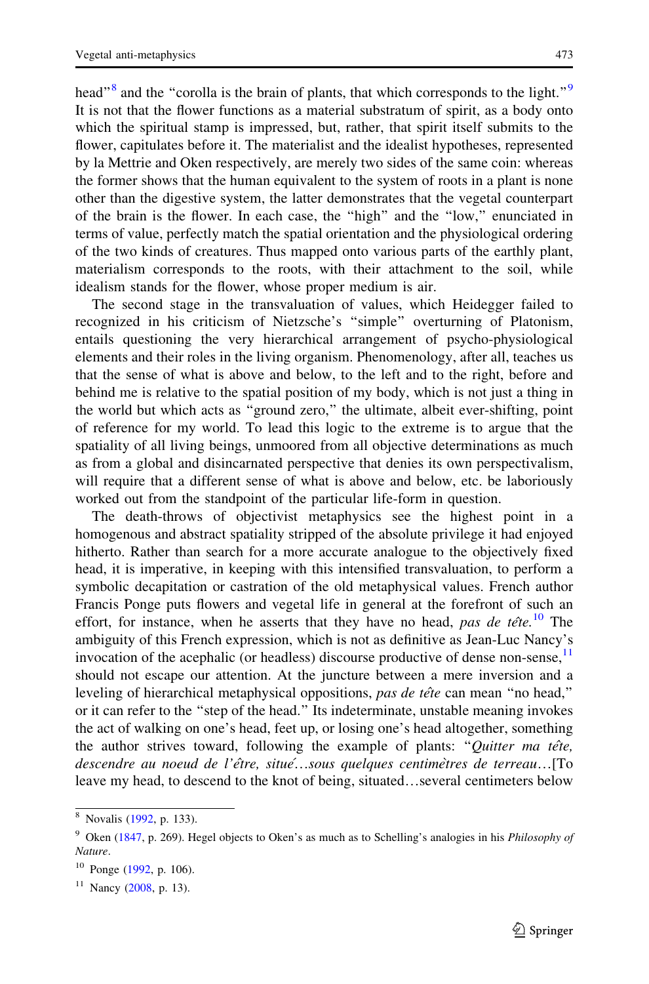head"<sup>8</sup> and the "corolla is the brain of plants, that which corresponds to the light."<sup>9</sup> It is not that the flower functions as a material substratum of spirit, as a body onto which the spiritual stamp is impressed, but, rather, that spirit itself submits to the flower, capitulates before it. The materialist and the idealist hypotheses, represented by la Mettrie and Oken respectively, are merely two sides of the same coin: whereas the former shows that the human equivalent to the system of roots in a plant is none other than the digestive system, the latter demonstrates that the vegetal counterpart of the brain is the flower. In each case, the ''high'' and the ''low,'' enunciated in terms of value, perfectly match the spatial orientation and the physiological ordering of the two kinds of creatures. Thus mapped onto various parts of the earthly plant, materialism corresponds to the roots, with their attachment to the soil, while idealism stands for the flower, whose proper medium is air.

The second stage in the transvaluation of values, which Heidegger failed to recognized in his criticism of Nietzsche's ''simple'' overturning of Platonism, entails questioning the very hierarchical arrangement of psycho-physiological elements and their roles in the living organism. Phenomenology, after all, teaches us that the sense of what is above and below, to the left and to the right, before and behind me is relative to the spatial position of my body, which is not just a thing in the world but which acts as ''ground zero,'' the ultimate, albeit ever-shifting, point of reference for my world. To lead this logic to the extreme is to argue that the spatiality of all living beings, unmoored from all objective determinations as much as from a global and disincarnated perspective that denies its own perspectivalism, will require that a different sense of what is above and below, etc. be laboriously worked out from the standpoint of the particular life-form in question.

The death-throws of objectivist metaphysics see the highest point in a homogenous and abstract spatiality stripped of the absolute privilege it had enjoyed hitherto. Rather than search for a more accurate analogue to the objectively fixed head, it is imperative, in keeping with this intensified transvaluation, to perform a symbolic decapitation or castration of the old metaphysical values. French author Francis Ponge puts flowers and vegetal life in general at the forefront of such an effort, for instance, when he asserts that they have no head, pas de tête.<sup>10</sup> The ambiguity of this French expression, which is not as definitive as Jean-Luc Nancy's invocation of the acephalic (or headless) discourse productive of dense non-sense, $<sup>11</sup>$ </sup> should not escape our attention. At the juncture between a mere inversion and a leveling of hierarchical metaphysical oppositions, pas de tête can mean "no head," or it can refer to the ''step of the head.'' Its indeterminate, unstable meaning invokes the act of walking on one's head, feet up, or losing one's head altogether, something the author strives toward, following the example of plants: "Quitter ma tête, descendre au noeud de l'être, situé...sous quelques centimètres de terreau...[To leave my head, to descend to the knot of being, situated…several centimeters below

<sup>8</sup> Novalis [\(1992,](#page-19-0) p. 133).

<sup>&</sup>lt;sup>9</sup> Oken [\(1847](#page-19-0), p. 269). Hegel objects to Oken's as much as to Schelling's analogies in his Philosophy of Nature.

 $10$  Ponge [\(1992](#page-20-0), p. 106).

 $11$  Nancy [\(2008,](#page-19-0) p. 13).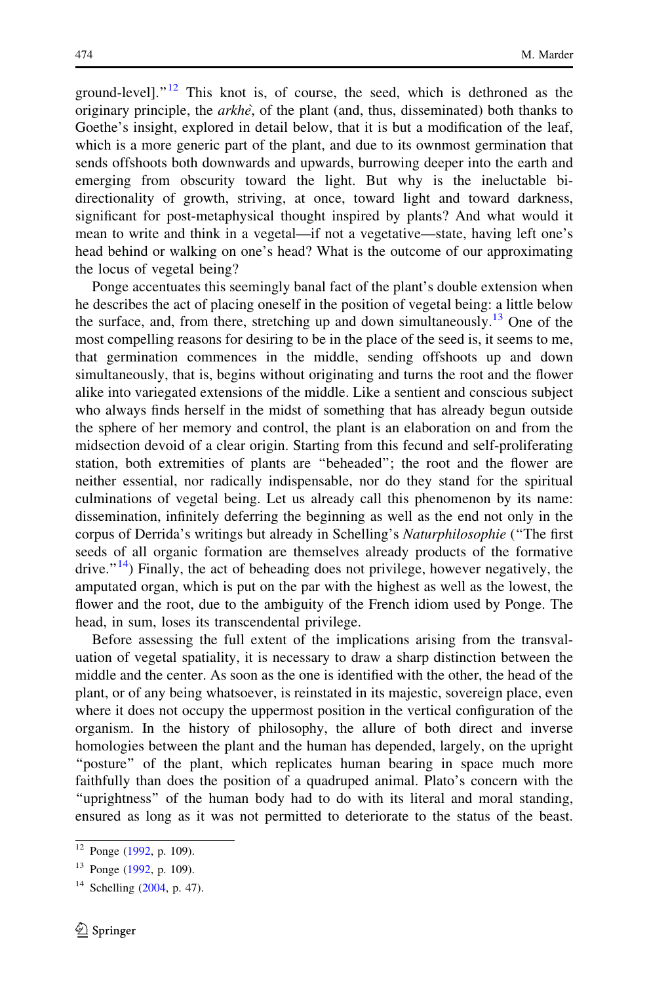ground-level]." $12$  This knot is, of course, the seed, which is dethroned as the originary principle, the  $arkh\hat{e}$ , of the plant (and, thus, disseminated) both thanks to Goethe's insight, explored in detail below, that it is but a modification of the leaf, which is a more generic part of the plant, and due to its ownmost germination that sends offshoots both downwards and upwards, burrowing deeper into the earth and emerging from obscurity toward the light. But why is the ineluctable bidirectionality of growth, striving, at once, toward light and toward darkness, significant for post-metaphysical thought inspired by plants? And what would it mean to write and think in a vegetal—if not a vegetative—state, having left one's head behind or walking on one's head? What is the outcome of our approximating the locus of vegetal being?

Ponge accentuates this seemingly banal fact of the plant's double extension when he describes the act of placing oneself in the position of vegetal being: a little below the surface, and, from there, stretching up and down simultaneously.<sup>13</sup> One of the most compelling reasons for desiring to be in the place of the seed is, it seems to me, that germination commences in the middle, sending offshoots up and down simultaneously, that is, begins without originating and turns the root and the flower alike into variegated extensions of the middle. Like a sentient and conscious subject who always finds herself in the midst of something that has already begun outside the sphere of her memory and control, the plant is an elaboration on and from the midsection devoid of a clear origin. Starting from this fecund and self-proliferating station, both extremities of plants are ''beheaded''; the root and the flower are neither essential, nor radically indispensable, nor do they stand for the spiritual culminations of vegetal being. Let us already call this phenomenon by its name: dissemination, infinitely deferring the beginning as well as the end not only in the corpus of Derrida's writings but already in Schelling's Naturphilosophie (''The first seeds of all organic formation are themselves already products of the formative drive. $14$ <sup>14</sup>) Finally, the act of beheading does not privilege, however negatively, the amputated organ, which is put on the par with the highest as well as the lowest, the flower and the root, due to the ambiguity of the French idiom used by Ponge. The head, in sum, loses its transcendental privilege.

Before assessing the full extent of the implications arising from the transvaluation of vegetal spatiality, it is necessary to draw a sharp distinction between the middle and the center. As soon as the one is identified with the other, the head of the plant, or of any being whatsoever, is reinstated in its majestic, sovereign place, even where it does not occupy the uppermost position in the vertical configuration of the organism. In the history of philosophy, the allure of both direct and inverse homologies between the plant and the human has depended, largely, on the upright "posture" of the plant, which replicates human bearing in space much more faithfully than does the position of a quadruped animal. Plato's concern with the ''uprightness'' of the human body had to do with its literal and moral standing, ensured as long as it was not permitted to deteriorate to the status of the beast.

<sup>12</sup> Ponge [\(1992](#page-20-0), p. 109).

 $13$  Ponge [\(1992](#page-20-0), p. 109).

 $14$  Schelling [\(2004](#page-20-0), p. 47).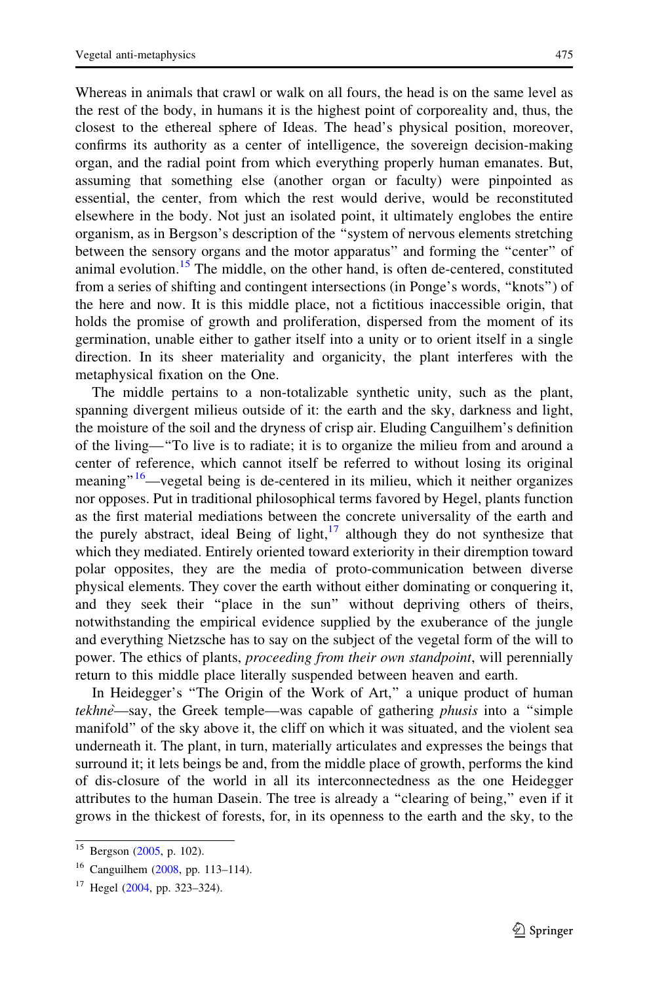Whereas in animals that crawl or walk on all fours, the head is on the same level as the rest of the body, in humans it is the highest point of corporeality and, thus, the closest to the ethereal sphere of Ideas. The head's physical position, moreover, confirms its authority as a center of intelligence, the sovereign decision-making organ, and the radial point from which everything properly human emanates. But, assuming that something else (another organ or faculty) were pinpointed as essential, the center, from which the rest would derive, would be reconstituted elsewhere in the body. Not just an isolated point, it ultimately englobes the entire organism, as in Bergson's description of the ''system of nervous elements stretching between the sensory organs and the motor apparatus'' and forming the ''center'' of animal evolution.<sup>15</sup> The middle, on the other hand, is often de-centered, constituted from a series of shifting and contingent intersections (in Ponge's words, ''knots'') of the here and now. It is this middle place, not a fictitious inaccessible origin, that holds the promise of growth and proliferation, dispersed from the moment of its germination, unable either to gather itself into a unity or to orient itself in a single direction. In its sheer materiality and organicity, the plant interferes with the metaphysical fixation on the One.

The middle pertains to a non-totalizable synthetic unity, such as the plant, spanning divergent milieus outside of it: the earth and the sky, darkness and light, the moisture of the soil and the dryness of crisp air. Eluding Canguilhem's definition of the living—''To live is to radiate; it is to organize the milieu from and around a center of reference, which cannot itself be referred to without losing its original meaning"<sup>16</sup>—vegetal being is de-centered in its milieu, which it neither organizes nor opposes. Put in traditional philosophical terms favored by Hegel, plants function as the first material mediations between the concrete universality of the earth and the purely abstract, ideal Being of light, $17$  although they do not synthesize that which they mediated. Entirely oriented toward exteriority in their diremption toward polar opposites, they are the media of proto-communication between diverse physical elements. They cover the earth without either dominating or conquering it, and they seek their ''place in the sun'' without depriving others of theirs, notwithstanding the empirical evidence supplied by the exuberance of the jungle and everything Nietzsche has to say on the subject of the vegetal form of the will to power. The ethics of plants, *proceeding from their own standpoint*, will perennially return to this middle place literally suspended between heaven and earth.

In Heidegger's ''The Origin of the Work of Art,'' a unique product of human tekhne $\ell$ —say, the Greek temple—was capable of gathering *phusis* into a "simple" manifold'' of the sky above it, the cliff on which it was situated, and the violent sea underneath it. The plant, in turn, materially articulates and expresses the beings that surround it; it lets beings be and, from the middle place of growth, performs the kind of dis-closure of the world in all its interconnectedness as the one Heidegger attributes to the human Dasein. The tree is already a ''clearing of being,'' even if it grows in the thickest of forests, for, in its openness to the earth and the sky, to the

<sup>15</sup> Bergson ([2005,](#page-19-0) p. 102).

<sup>16</sup> Canguilhem [\(2008](#page-19-0), pp. 113–114).

<sup>&</sup>lt;sup>17</sup> Hegel [\(2004](#page-19-0), pp. 323-324).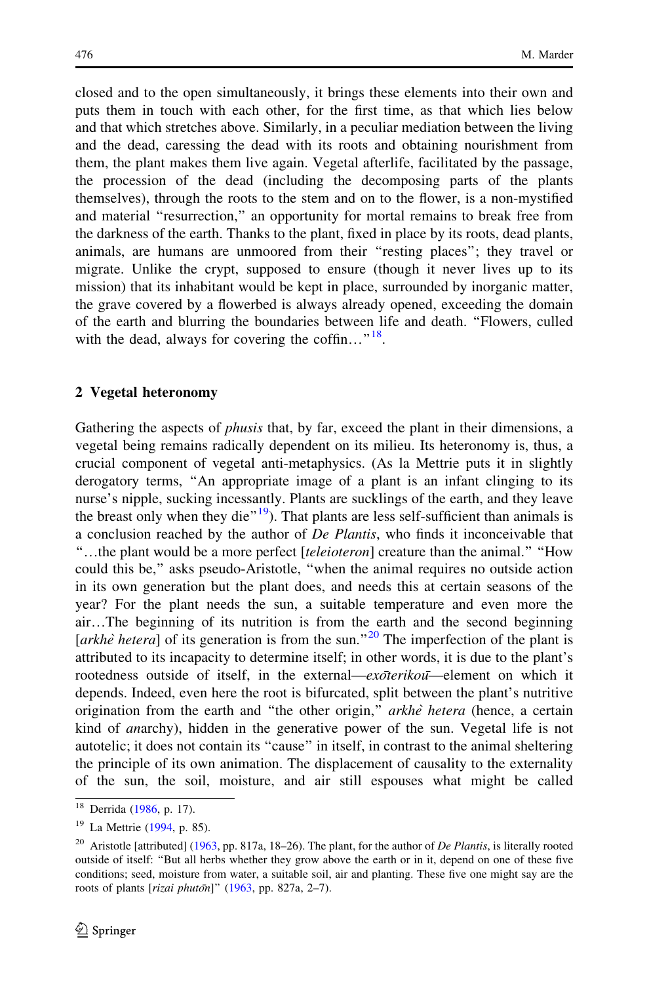closed and to the open simultaneously, it brings these elements into their own and puts them in touch with each other, for the first time, as that which lies below and that which stretches above. Similarly, in a peculiar mediation between the living and the dead, caressing the dead with its roots and obtaining nourishment from them, the plant makes them live again. Vegetal afterlife, facilitated by the passage, the procession of the dead (including the decomposing parts of the plants themselves), through the roots to the stem and on to the flower, is a non-mystified and material ''resurrection,'' an opportunity for mortal remains to break free from the darkness of the earth. Thanks to the plant, fixed in place by its roots, dead plants, animals, are humans are unmoored from their ''resting places''; they travel or migrate. Unlike the crypt, supposed to ensure (though it never lives up to its mission) that its inhabitant would be kept in place, surrounded by inorganic matter, the grave covered by a flowerbed is always already opened, exceeding the domain of the earth and blurring the boundaries between life and death. ''Flowers, culled with the dead, always for covering the coffin... $^{18}$ .

### 2 Vegetal heteronomy

Gathering the aspects of *phusis* that, by far, exceed the plant in their dimensions, a vegetal being remains radically dependent on its milieu. Its heteronomy is, thus, a crucial component of vegetal anti-metaphysics. (As la Mettrie puts it in slightly derogatory terms, ''An appropriate image of a plant is an infant clinging to its nurse's nipple, sucking incessantly. Plants are sucklings of the earth, and they leave the breast only when they die $\frac{19}{2}$ . That plants are less self-sufficient than animals is a conclusion reached by the author of  $De$  Plantis, who finds it inconceivable that ''…the plant would be a more perfect [teleioteron] creature than the animal.'' ''How could this be,'' asks pseudo-Aristotle, ''when the animal requires no outside action in its own generation but the plant does, and needs this at certain seasons of the year? For the plant needs the sun, a suitable temperature and even more the air…The beginning of its nutrition is from the earth and the second beginning [arkhe<sup>}</sup> hetera] of its generation is from the sun.<sup>"20</sup> The imperfection of the plant is attributed to its incapacity to determine itself; in other words, it is due to the plant's rootedness outside of itself, in the external—exoterikou—element on which it depends. Indeed, even here the root is bifurcated, split between the plant's nutritive origination from the earth and "the other origin," arkhe` hetera (hence, a certain kind of anarchy), hidden in the generative power of the sun. Vegetal life is not autotelic; it does not contain its ''cause'' in itself, in contrast to the animal sheltering the principle of its own animation. The displacement of causality to the externality of the sun, the soil, moisture, and air still espouses what might be called

<sup>18</sup> Derrida ([1986,](#page-19-0) p. 17).

<sup>19</sup> La Mettrie ([1994,](#page-19-0) p. 85).

<sup>&</sup>lt;sup>20</sup> Aristotle [attributed] [\(1963](#page-19-0), pp. 817a, 18–26). The plant, for the author of *De Plantis*, is literally rooted outside of itself: ''But all herbs whether they grow above the earth or in it, depend on one of these five conditions; seed, moisture from water, a suitable soil, air and planting. These five one might say are the roots of plants [rizai phuton]" ([1963,](#page-19-0) pp. 827a, 2-7).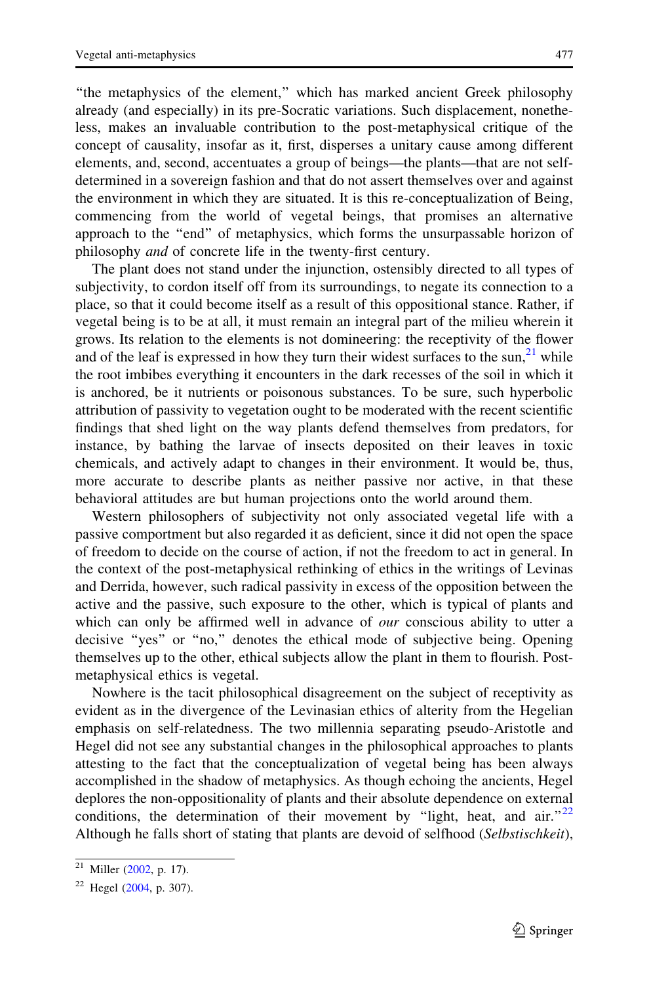''the metaphysics of the element,'' which has marked ancient Greek philosophy already (and especially) in its pre-Socratic variations. Such displacement, nonetheless, makes an invaluable contribution to the post-metaphysical critique of the concept of causality, insofar as it, first, disperses a unitary cause among different elements, and, second, accentuates a group of beings—the plants—that are not selfdetermined in a sovereign fashion and that do not assert themselves over and against the environment in which they are situated. It is this re-conceptualization of Being, commencing from the world of vegetal beings, that promises an alternative approach to the ''end'' of metaphysics, which forms the unsurpassable horizon of philosophy *and* of concrete life in the twenty-first century.

The plant does not stand under the injunction, ostensibly directed to all types of subjectivity, to cordon itself off from its surroundings, to negate its connection to a place, so that it could become itself as a result of this oppositional stance. Rather, if vegetal being is to be at all, it must remain an integral part of the milieu wherein it grows. Its relation to the elements is not domineering: the receptivity of the flower and of the leaf is expressed in how they turn their widest surfaces to the sun, $21$  while the root imbibes everything it encounters in the dark recesses of the soil in which it is anchored, be it nutrients or poisonous substances. To be sure, such hyperbolic attribution of passivity to vegetation ought to be moderated with the recent scientific findings that shed light on the way plants defend themselves from predators, for instance, by bathing the larvae of insects deposited on their leaves in toxic chemicals, and actively adapt to changes in their environment. It would be, thus, more accurate to describe plants as neither passive nor active, in that these behavioral attitudes are but human projections onto the world around them.

Western philosophers of subjectivity not only associated vegetal life with a passive comportment but also regarded it as deficient, since it did not open the space of freedom to decide on the course of action, if not the freedom to act in general. In the context of the post-metaphysical rethinking of ethics in the writings of Levinas and Derrida, however, such radical passivity in excess of the opposition between the active and the passive, such exposure to the other, which is typical of plants and which can only be affirmed well in advance of *our* conscious ability to utter a decisive ''yes'' or ''no,'' denotes the ethical mode of subjective being. Opening themselves up to the other, ethical subjects allow the plant in them to flourish. Postmetaphysical ethics is vegetal.

Nowhere is the tacit philosophical disagreement on the subject of receptivity as evident as in the divergence of the Levinasian ethics of alterity from the Hegelian emphasis on self-relatedness. The two millennia separating pseudo-Aristotle and Hegel did not see any substantial changes in the philosophical approaches to plants attesting to the fact that the conceptualization of vegetal being has been always accomplished in the shadow of metaphysics. As though echoing the ancients, Hegel deplores the non-oppositionality of plants and their absolute dependence on external conditions, the determination of their movement by "light, heat, and air."<sup>22</sup> Although he falls short of stating that plants are devoid of selfhood (Selbstischkeit),

 $21$  Miller [\(2002](#page-19-0), p. 17).

 $22$  Hegel [\(2004](#page-19-0), p. 307).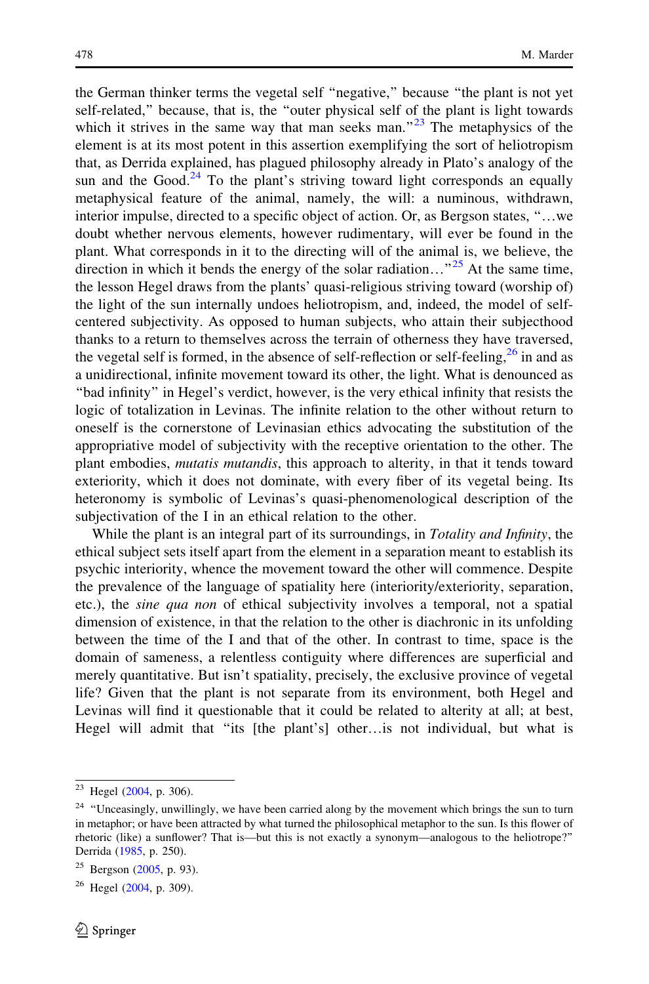the German thinker terms the vegetal self ''negative,'' because ''the plant is not yet self-related,'' because, that is, the ''outer physical self of the plant is light towards which it strives in the same way that man seeks man. $123$  The metaphysics of the element is at its most potent in this assertion exemplifying the sort of heliotropism that, as Derrida explained, has plagued philosophy already in Plato's analogy of the sun and the Good. $24$  To the plant's striving toward light corresponds an equally metaphysical feature of the animal, namely, the will: a numinous, withdrawn, interior impulse, directed to a specific object of action. Or, as Bergson states, ''…we doubt whether nervous elements, however rudimentary, will ever be found in the plant. What corresponds in it to the directing will of the animal is, we believe, the direction in which it bends the energy of the solar radiation..."<sup>25</sup> At the same time, the lesson Hegel draws from the plants' quasi-religious striving toward (worship of) the light of the sun internally undoes heliotropism, and, indeed, the model of selfcentered subjectivity. As opposed to human subjects, who attain their subjecthood thanks to a return to themselves across the terrain of otherness they have traversed, the vegetal self is formed, in the absence of self-reflection or self-feeling,  $^{26}$  in and as a unidirectional, infinite movement toward its other, the light. What is denounced as "bad infinity" in Hegel's verdict, however, is the very ethical infinity that resists the logic of totalization in Levinas. The infinite relation to the other without return to oneself is the cornerstone of Levinasian ethics advocating the substitution of the appropriative model of subjectivity with the receptive orientation to the other. The plant embodies, mutatis mutandis, this approach to alterity, in that it tends toward exteriority, which it does not dominate, with every fiber of its vegetal being. Its heteronomy is symbolic of Levinas's quasi-phenomenological description of the subjectivation of the I in an ethical relation to the other.

While the plant is an integral part of its surroundings, in Totality and Infinity, the ethical subject sets itself apart from the element in a separation meant to establish its psychic interiority, whence the movement toward the other will commence. Despite the prevalence of the language of spatiality here (interiority/exteriority, separation, etc.), the sine qua non of ethical subjectivity involves a temporal, not a spatial dimension of existence, in that the relation to the other is diachronic in its unfolding between the time of the I and that of the other. In contrast to time, space is the domain of sameness, a relentless contiguity where differences are superficial and merely quantitative. But isn't spatiality, precisely, the exclusive province of vegetal life? Given that the plant is not separate from its environment, both Hegel and Levinas will find it questionable that it could be related to alterity at all; at best, Hegel will admit that ''its [the plant's] other…is not individual, but what is

 $23$  Hegel [\(2004](#page-19-0), p. 306).

<sup>&</sup>lt;sup>24</sup> "Unceasingly, unwillingly, we have been carried along by the movement which brings the sun to turn in metaphor; or have been attracted by what turned the philosophical metaphor to the sun. Is this flower of rhetoric (like) a sunflower? That is—but this is not exactly a synonym—analogous to the heliotrope?'' Derrida ([1985,](#page-19-0) p. 250).

 $25$  Bergson ([2005,](#page-19-0) p. 93).

 $26$  Hegel [\(2004](#page-19-0), p. 309).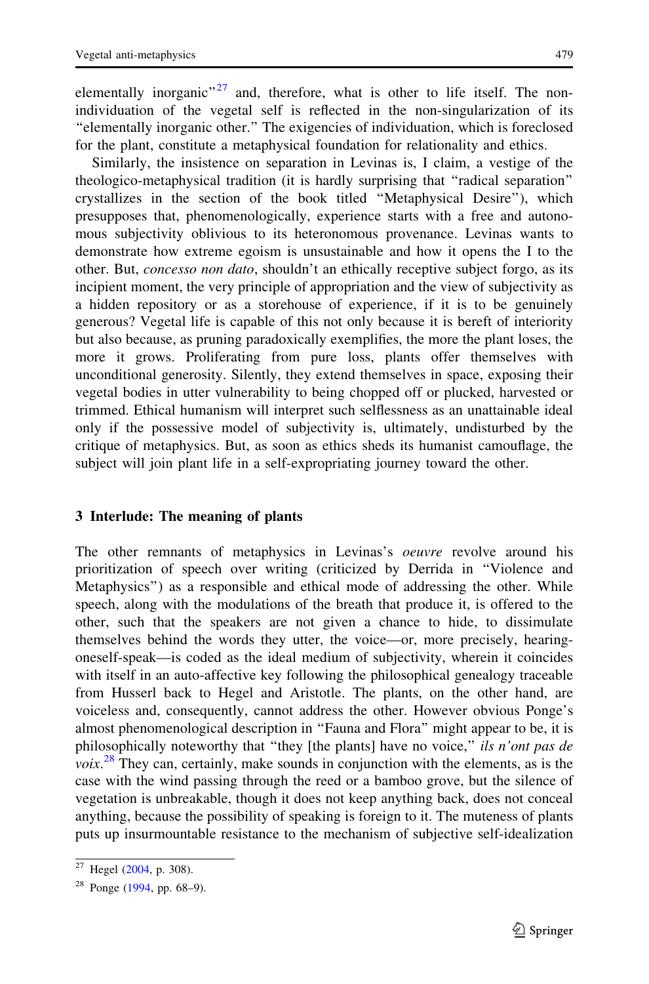elementally inorganic<sup> $27$ </sup> and, therefore, what is other to life itself. The nonindividuation of the vegetal self is reflected in the non-singularization of its ''elementally inorganic other.'' The exigencies of individuation, which is foreclosed for the plant, constitute a metaphysical foundation for relationality and ethics.

Similarly, the insistence on separation in Levinas is, I claim, a vestige of the theologico-metaphysical tradition (it is hardly surprising that ''radical separation'' crystallizes in the section of the book titled ''Metaphysical Desire''), which presupposes that, phenomenologically, experience starts with a free and autonomous subjectivity oblivious to its heteronomous provenance. Levinas wants to demonstrate how extreme egoism is unsustainable and how it opens the I to the other. But, concesso non dato, shouldn't an ethically receptive subject forgo, as its incipient moment, the very principle of appropriation and the view of subjectivity as a hidden repository or as a storehouse of experience, if it is to be genuinely generous? Vegetal life is capable of this not only because it is bereft of interiority but also because, as pruning paradoxically exemplifies, the more the plant loses, the more it grows. Proliferating from pure loss, plants offer themselves with unconditional generosity. Silently, they extend themselves in space, exposing their vegetal bodies in utter vulnerability to being chopped off or plucked, harvested or trimmed. Ethical humanism will interpret such selflessness as an unattainable ideal only if the possessive model of subjectivity is, ultimately, undisturbed by the critique of metaphysics. But, as soon as ethics sheds its humanist camouflage, the subject will join plant life in a self-expropriating journey toward the other.

### 3 Interlude: The meaning of plants

The other remnants of metaphysics in Levinas's oeuvre revolve around his prioritization of speech over writing (criticized by Derrida in ''Violence and Metaphysics'') as a responsible and ethical mode of addressing the other. While speech, along with the modulations of the breath that produce it, is offered to the other, such that the speakers are not given a chance to hide, to dissimulate themselves behind the words they utter, the voice—or, more precisely, hearingoneself-speak—is coded as the ideal medium of subjectivity, wherein it coincides with itself in an auto-affective key following the philosophical genealogy traceable from Husserl back to Hegel and Aristotle. The plants, on the other hand, are voiceless and, consequently, cannot address the other. However obvious Ponge's almost phenomenological description in ''Fauna and Flora'' might appear to be, it is philosophically noteworthy that "they [the plants] have no voice," ils n'ont pas de  $\frac{1}{28}$  They can, certainly, make sounds in conjunction with the elements, as is the case with the wind passing through the reed or a bamboo grove, but the silence of vegetation is unbreakable, though it does not keep anything back, does not conceal anything, because the possibility of speaking is foreign to it. The muteness of plants puts up insurmountable resistance to the mechanism of subjective self-idealization

 $27$  Hegel [\(2004](#page-19-0), p. 308).

 $28$  Ponge [\(1994](#page-20-0), pp. 68–9).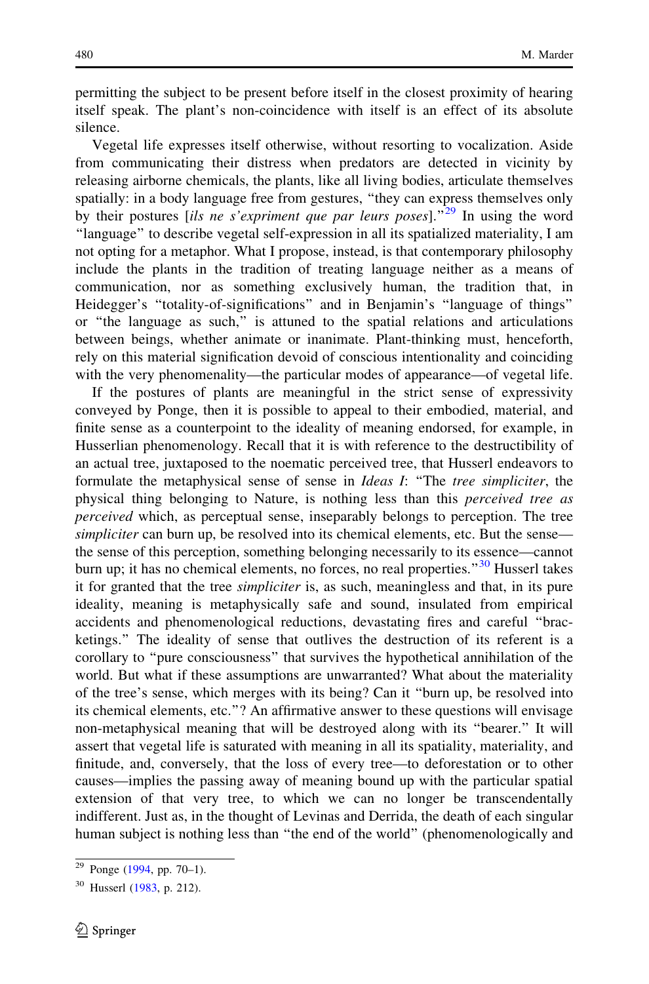permitting the subject to be present before itself in the closest proximity of hearing itself speak. The plant's non-coincidence with itself is an effect of its absolute silence.

Vegetal life expresses itself otherwise, without resorting to vocalization. Aside from communicating their distress when predators are detected in vicinity by releasing airborne chemicals, the plants, like all living bodies, articulate themselves spatially: in a body language free from gestures, ''they can express themselves only by their postures *ils ne s'expriment que par leurs poses*].<sup>"29</sup> In using the word ''language'' to describe vegetal self-expression in all its spatialized materiality, I am not opting for a metaphor. What I propose, instead, is that contemporary philosophy include the plants in the tradition of treating language neither as a means of communication, nor as something exclusively human, the tradition that, in Heidegger's ''totality-of-significations'' and in Benjamin's ''language of things'' or ''the language as such,'' is attuned to the spatial relations and articulations between beings, whether animate or inanimate. Plant-thinking must, henceforth, rely on this material signification devoid of conscious intentionality and coinciding with the very phenomenality—the particular modes of appearance—of vegetal life.

If the postures of plants are meaningful in the strict sense of expressivity conveyed by Ponge, then it is possible to appeal to their embodied, material, and finite sense as a counterpoint to the ideality of meaning endorsed, for example, in Husserlian phenomenology. Recall that it is with reference to the destructibility of an actual tree, juxtaposed to the noematic perceived tree, that Husserl endeavors to formulate the metaphysical sense of sense in Ideas I: "The tree simpliciter, the physical thing belonging to Nature, is nothing less than this perceived tree as perceived which, as perceptual sense, inseparably belongs to perception. The tree simpliciter can burn up, be resolved into its chemical elements, etc. But the sense the sense of this perception, something belonging necessarily to its essence—cannot burn up; it has no chemical elements, no forces, no real properties."<sup>30</sup> Husserl takes it for granted that the tree *simpliciter* is, as such, meaningless and that, in its pure ideality, meaning is metaphysically safe and sound, insulated from empirical accidents and phenomenological reductions, devastating fires and careful ''bracketings.'' The ideality of sense that outlives the destruction of its referent is a corollary to ''pure consciousness'' that survives the hypothetical annihilation of the world. But what if these assumptions are unwarranted? What about the materiality of the tree's sense, which merges with its being? Can it ''burn up, be resolved into its chemical elements, etc.''? An affirmative answer to these questions will envisage non-metaphysical meaning that will be destroyed along with its ''bearer.'' It will assert that vegetal life is saturated with meaning in all its spatiality, materiality, and finitude, and, conversely, that the loss of every tree—to deforestation or to other causes—implies the passing away of meaning bound up with the particular spatial extension of that very tree, to which we can no longer be transcendentally indifferent. Just as, in the thought of Levinas and Derrida, the death of each singular human subject is nothing less than ''the end of the world'' (phenomenologically and

 $29$  Ponge [\(1994](#page-20-0), pp. 70–1).

 $30$  Husserl ([1983](#page-19-0), p. 212).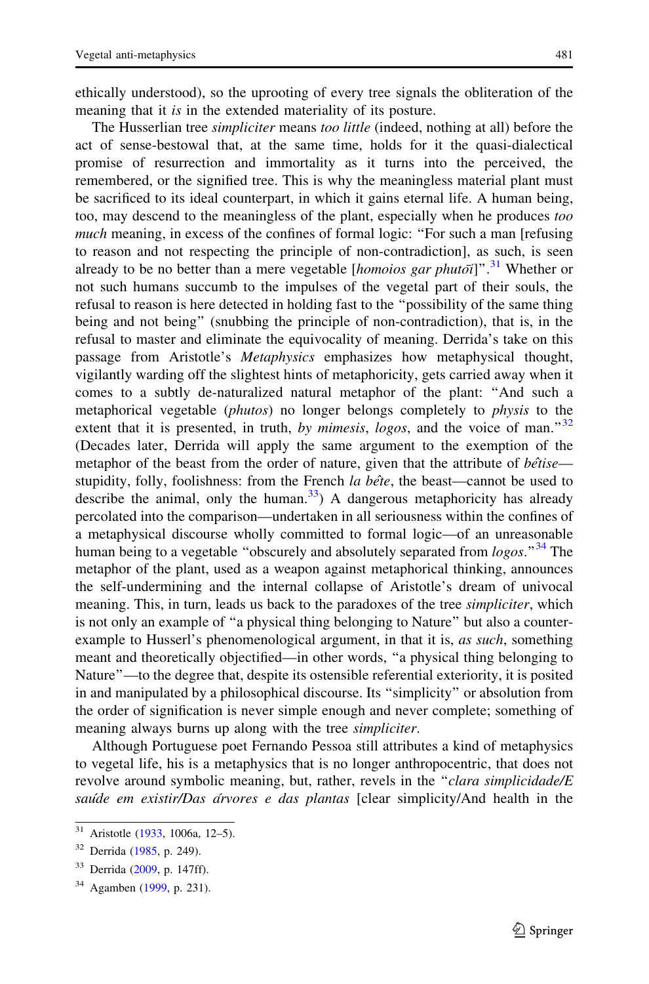ethically understood), so the uprooting of every tree signals the obliteration of the meaning that it is in the extended materiality of its posture.

The Husserlian tree *simpliciter* means *too little* (indeed, nothing at all) before the act of sense-bestowal that, at the same time, holds for it the quasi-dialectical promise of resurrection and immortality as it turns into the perceived, the remembered, or the signified tree. This is why the meaningless material plant must be sacrificed to its ideal counterpart, in which it gains eternal life. A human being, too, may descend to the meaningless of the plant, especially when he produces too much meaning, in excess of the confines of formal logic: ''For such a man [refusing to reason and not respecting the principle of non-contradiction], as such, is seen already to be no better than a mere vegetable [*homoios gar phuto* $i$ ]".<sup>31</sup> Whether or not such humans succumb to the impulses of the vegetal part of their souls, the refusal to reason is here detected in holding fast to the ''possibility of the same thing being and not being'' (snubbing the principle of non-contradiction), that is, in the refusal to master and eliminate the equivocality of meaning. Derrida's take on this passage from Aristotle's Metaphysics emphasizes how metaphysical thought, vigilantly warding off the slightest hints of metaphoricity, gets carried away when it comes to a subtly de-naturalized natural metaphor of the plant: ''And such a metaphorical vegetable (phutos) no longer belongs completely to physis to the extent that it is presented, in truth, by mimesis,  $logos$ , and the voice of man."<sup>32</sup> (Decades later, Derrida will apply the same argument to the exemption of the metaphor of the beast from the order of nature, given that the attribute of  $b\hat{e}$ tise stupidity, folly, foolishness: from the French *la bête*, the beast—cannot be used to describe the animal, only the human.<sup>33</sup>) A dangerous metaphoricity has already percolated into the comparison—undertaken in all seriousness within the confines of a metaphysical discourse wholly committed to formal logic—of an unreasonable human being to a vegetable "obscurely and absolutely separated from *logos*."<sup>34</sup> The metaphor of the plant, used as a weapon against metaphorical thinking, announces the self-undermining and the internal collapse of Aristotle's dream of univocal meaning. This, in turn, leads us back to the paradoxes of the tree *simpliciter*, which is not only an example of ''a physical thing belonging to Nature'' but also a counterexample to Husserl's phenomenological argument, in that it is, as such, something meant and theoretically objectified—in other words, ''a physical thing belonging to Nature''—to the degree that, despite its ostensible referential exteriority, it is posited in and manipulated by a philosophical discourse. Its ''simplicity'' or absolution from the order of signification is never simple enough and never complete; something of meaning always burns up along with the tree *simpliciter*.

Although Portuguese poet Fernando Pessoa still attributes a kind of metaphysics to vegetal life, his is a metaphysics that is no longer anthropocentric, that does not revolve around symbolic meaning, but, rather, revels in the "*clara simplicidade/E* sau´de em existir/Das a´rvores e das plantas [clear simplicity/And health in the

<sup>31</sup> Aristotle [\(1933](#page-19-0), 1006a, 12–5).

<sup>32</sup> Derrida ([1985,](#page-19-0) p. 249).

<sup>33</sup> Derrida ([2009,](#page-19-0) p. 147ff).

<sup>34</sup> Agamben [\(1999](#page-19-0), p. 231).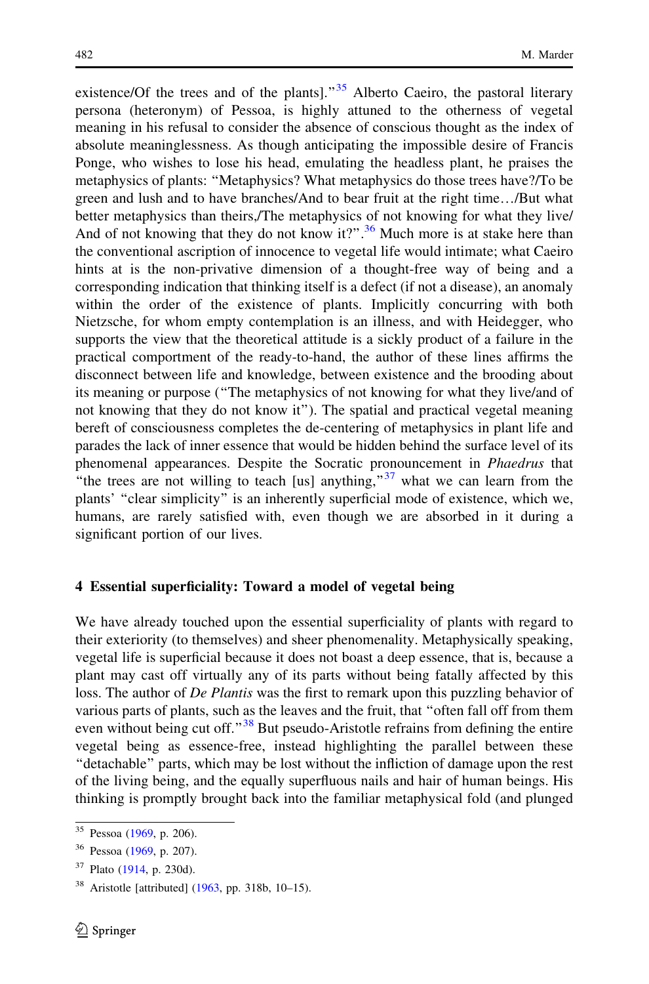existence/Of the trees and of the plants]." $35$  Alberto Caeiro, the pastoral literary persona (heteronym) of Pessoa, is highly attuned to the otherness of vegetal meaning in his refusal to consider the absence of conscious thought as the index of absolute meaninglessness. As though anticipating the impossible desire of Francis Ponge, who wishes to lose his head, emulating the headless plant, he praises the metaphysics of plants: ''Metaphysics? What metaphysics do those trees have?/To be green and lush and to have branches/And to bear fruit at the right time…/But what better metaphysics than theirs,/The metaphysics of not knowing for what they live/ And of not knowing that they do not know it?".<sup>36</sup> Much more is at stake here than the conventional ascription of innocence to vegetal life would intimate; what Caeiro hints at is the non-privative dimension of a thought-free way of being and a corresponding indication that thinking itself is a defect (if not a disease), an anomaly within the order of the existence of plants. Implicitly concurring with both Nietzsche, for whom empty contemplation is an illness, and with Heidegger, who supports the view that the theoretical attitude is a sickly product of a failure in the practical comportment of the ready-to-hand, the author of these lines affirms the disconnect between life and knowledge, between existence and the brooding about its meaning or purpose (''The metaphysics of not knowing for what they live/and of not knowing that they do not know it''). The spatial and practical vegetal meaning bereft of consciousness completes the de-centering of metaphysics in plant life and parades the lack of inner essence that would be hidden behind the surface level of its phenomenal appearances. Despite the Socratic pronouncement in Phaedrus that "the trees are not willing to teach [us] anything,"  $37$  what we can learn from the plants' ''clear simplicity'' is an inherently superficial mode of existence, which we, humans, are rarely satisfied with, even though we are absorbed in it during a significant portion of our lives.

### 4 Essential superficiality: Toward a model of vegetal being

We have already touched upon the essential superficiality of plants with regard to their exteriority (to themselves) and sheer phenomenality. Metaphysically speaking, vegetal life is superficial because it does not boast a deep essence, that is, because a plant may cast off virtually any of its parts without being fatally affected by this loss. The author of *De Plantis* was the first to remark upon this puzzling behavior of various parts of plants, such as the leaves and the fruit, that ''often fall off from them even without being cut off."<sup>38</sup> But pseudo-Aristotle refrains from defining the entire vegetal being as essence-free, instead highlighting the parallel between these ''detachable'' parts, which may be lost without the infliction of damage upon the rest of the living being, and the equally superfluous nails and hair of human beings. His thinking is promptly brought back into the familiar metaphysical fold (and plunged

<sup>35</sup> Pessoa ([1969,](#page-20-0) p. 206).

<sup>36</sup> Pessoa ([1969,](#page-20-0) p. 207).

 $37$  Plato ([1914,](#page-20-0) p. 230d).

<sup>38</sup> Aristotle [attributed] ([1963,](#page-19-0) pp. 318b, 10–15).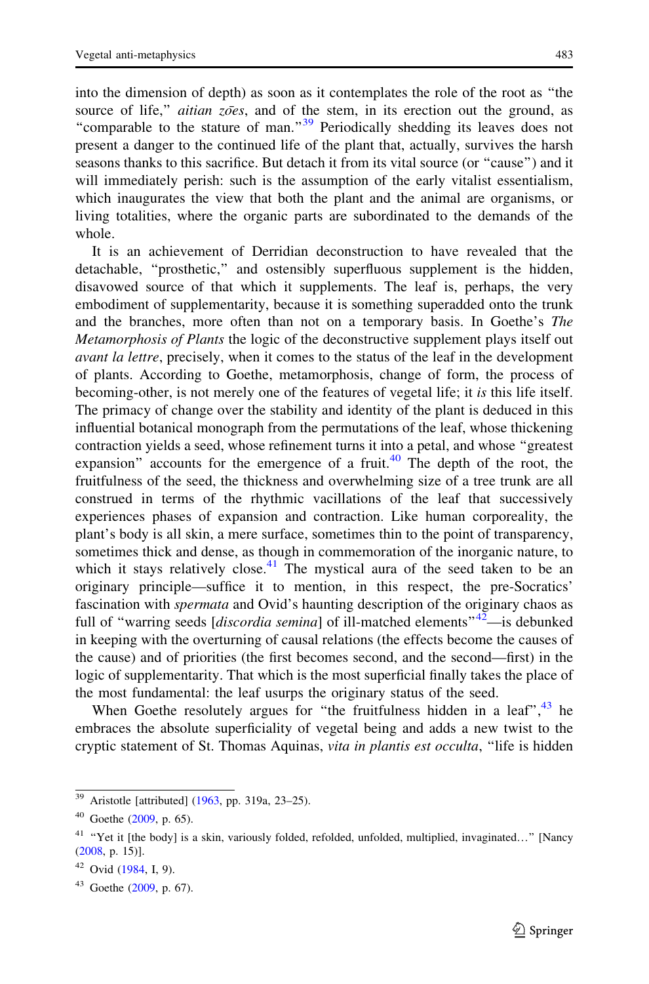into the dimension of depth) as soon as it contemplates the role of the root as ''the source of life," *aitian zoes*, and of the stem, in its erection out the ground, as "comparable to the stature of man."<sup>39</sup> Periodically shedding its leaves does not present a danger to the continued life of the plant that, actually, survives the harsh seasons thanks to this sacrifice. But detach it from its vital source (or ''cause'') and it will immediately perish: such is the assumption of the early vitalist essentialism, which inaugurates the view that both the plant and the animal are organisms, or living totalities, where the organic parts are subordinated to the demands of the whole.

It is an achievement of Derridian deconstruction to have revealed that the detachable, ''prosthetic,'' and ostensibly superfluous supplement is the hidden, disavowed source of that which it supplements. The leaf is, perhaps, the very embodiment of supplementarity, because it is something superadded onto the trunk and the branches, more often than not on a temporary basis. In Goethe's The Metamorphosis of Plants the logic of the deconstructive supplement plays itself out avant la lettre, precisely, when it comes to the status of the leaf in the development of plants. According to Goethe, metamorphosis, change of form, the process of becoming-other, is not merely one of the features of vegetal life; it is this life itself. The primacy of change over the stability and identity of the plant is deduced in this influential botanical monograph from the permutations of the leaf, whose thickening contraction yields a seed, whose refinement turns it into a petal, and whose ''greatest expansion" accounts for the emergence of a fruit.<sup>40</sup> The depth of the root, the fruitfulness of the seed, the thickness and overwhelming size of a tree trunk are all construed in terms of the rhythmic vacillations of the leaf that successively experiences phases of expansion and contraction. Like human corporeality, the plant's body is all skin, a mere surface, sometimes thin to the point of transparency, sometimes thick and dense, as though in commemoration of the inorganic nature, to which it stays relatively close.<sup>41</sup> The mystical aura of the seed taken to be an originary principle—suffice it to mention, in this respect, the pre-Socratics' fascination with spermata and Ovid's haunting description of the originary chaos as full of "warring seeds [*discordia semina*] of ill-matched elements" $42$ —is debunked in keeping with the overturning of causal relations (the effects become the causes of the cause) and of priorities (the first becomes second, and the second—first) in the logic of supplementarity. That which is the most superficial finally takes the place of the most fundamental: the leaf usurps the originary status of the seed.

When Goethe resolutely argues for "the fruitfulness hidden in a leaf",  $43$  he embraces the absolute superficiality of vegetal being and adds a new twist to the cryptic statement of St. Thomas Aquinas, vita in plantis est occulta, "life is hidden

<sup>39</sup> Aristotle [attributed] ([1963,](#page-19-0) pp. 319a, 23–25).

 $40$  Goethe [\(2009](#page-19-0), p. 65).

<sup>&</sup>lt;sup>41</sup> "Yet it [the body] is a skin, variously folded, refolded, unfolded, multiplied, invaginated..." [Nancy ([2008,](#page-19-0) p. 15)].

 $42$  Ovid [\(1984](#page-19-0), I, 9).

<sup>43</sup> Goethe [\(2009](#page-19-0), p. 67).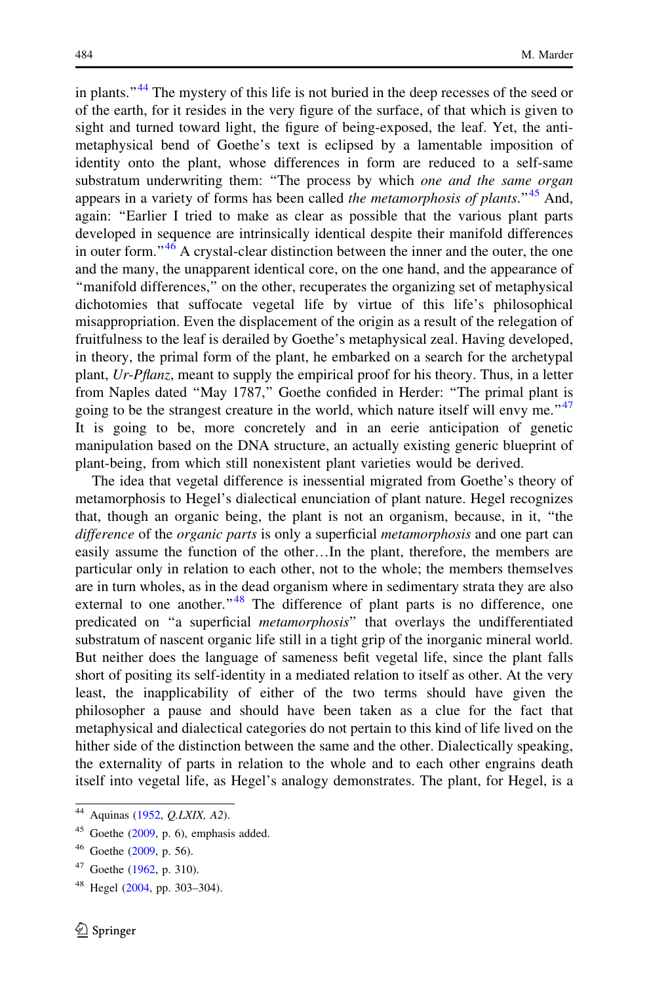in plants."<sup>44</sup> The mystery of this life is not buried in the deep recesses of the seed or of the earth, for it resides in the very figure of the surface, of that which is given to sight and turned toward light, the figure of being-exposed, the leaf. Yet, the antimetaphysical bend of Goethe's text is eclipsed by a lamentable imposition of identity onto the plant, whose differences in form are reduced to a self-same substratum underwriting them: "The process by which *one and the same organ* appears in a variety of forms has been called the metamorphosis of plants. $145$  And, again: ''Earlier I tried to make as clear as possible that the various plant parts developed in sequence are intrinsically identical despite their manifold differences in outer form." $46$  A crystal-clear distinction between the inner and the outer, the one and the many, the unapparent identical core, on the one hand, and the appearance of ''manifold differences,'' on the other, recuperates the organizing set of metaphysical dichotomies that suffocate vegetal life by virtue of this life's philosophical misappropriation. Even the displacement of the origin as a result of the relegation of fruitfulness to the leaf is derailed by Goethe's metaphysical zeal. Having developed, in theory, the primal form of the plant, he embarked on a search for the archetypal plant, Ur-Pflanz, meant to supply the empirical proof for his theory. Thus, in a letter from Naples dated ''May 1787,'' Goethe confided in Herder: ''The primal plant is going to be the strangest creature in the world, which nature itself will envy me."<sup>47</sup> It is going to be, more concretely and in an eerie anticipation of genetic manipulation based on the DNA structure, an actually existing generic blueprint of plant-being, from which still nonexistent plant varieties would be derived.

The idea that vegetal difference is inessential migrated from Goethe's theory of metamorphosis to Hegel's dialectical enunciation of plant nature. Hegel recognizes that, though an organic being, the plant is not an organism, because, in it, ''the difference of the *organic parts* is only a superficial *metamorphosis* and one part can easily assume the function of the other…In the plant, therefore, the members are particular only in relation to each other, not to the whole; the members themselves are in turn wholes, as in the dead organism where in sedimentary strata they are also external to one another."<sup>48</sup> The difference of plant parts is no difference, one predicated on "a superficial *metamorphosis*" that overlays the undifferentiated substratum of nascent organic life still in a tight grip of the inorganic mineral world. But neither does the language of sameness befit vegetal life, since the plant falls short of positing its self-identity in a mediated relation to itself as other. At the very least, the inapplicability of either of the two terms should have given the philosopher a pause and should have been taken as a clue for the fact that metaphysical and dialectical categories do not pertain to this kind of life lived on the hither side of the distinction between the same and the other. Dialectically speaking, the externality of parts in relation to the whole and to each other engrains death itself into vegetal life, as Hegel's analogy demonstrates. The plant, for Hegel, is a

<sup>44</sup> Aquinas ([1952,](#page-19-0) Q.LXIX, A2).

 $45$  Goethe [\(2009](#page-19-0), p. 6), emphasis added.

<sup>46</sup> Goethe [\(2009](#page-19-0), p. 56).

 $47$  Goethe [\(1962](#page-19-0), p. 310).

<sup>48</sup> Hegel [\(2004](#page-19-0), pp. 303–304).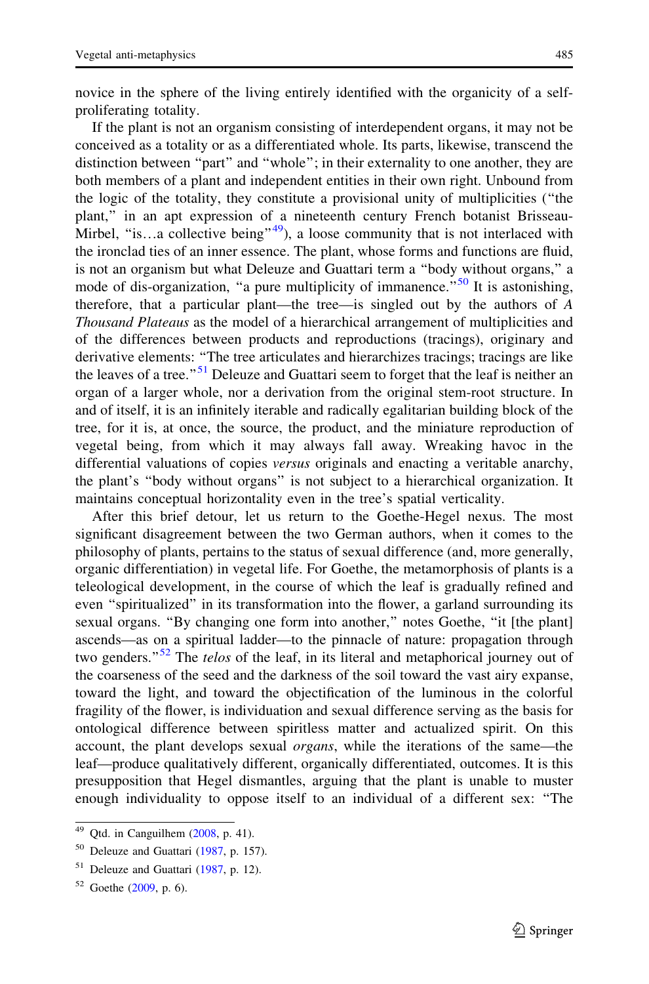novice in the sphere of the living entirely identified with the organicity of a selfproliferating totality.

If the plant is not an organism consisting of interdependent organs, it may not be conceived as a totality or as a differentiated whole. Its parts, likewise, transcend the distinction between "part" and "whole"; in their externality to one another, they are both members of a plant and independent entities in their own right. Unbound from the logic of the totality, they constitute a provisional unity of multiplicities (''the plant,'' in an apt expression of a nineteenth century French botanist Brisseau-Mirbel, "is...a collective being"<sup>49</sup>), a loose community that is not interlaced with the ironclad ties of an inner essence. The plant, whose forms and functions are fluid, is not an organism but what Deleuze and Guattari term a ''body without organs,'' a mode of dis-organization, "a pure multiplicity of immanence."<sup>50</sup> It is astonishing, therefore, that a particular plant—the tree—is singled out by the authors of A Thousand Plateaus as the model of a hierarchical arrangement of multiplicities and of the differences between products and reproductions (tracings), originary and derivative elements: ''The tree articulates and hierarchizes tracings; tracings are like the leaves of a tree."<sup>51</sup> Deleuze and Guattari seem to forget that the leaf is neither an organ of a larger whole, nor a derivation from the original stem-root structure. In and of itself, it is an infinitely iterable and radically egalitarian building block of the tree, for it is, at once, the source, the product, and the miniature reproduction of vegetal being, from which it may always fall away. Wreaking havoc in the differential valuations of copies versus originals and enacting a veritable anarchy, the plant's ''body without organs'' is not subject to a hierarchical organization. It maintains conceptual horizontality even in the tree's spatial verticality.

After this brief detour, let us return to the Goethe-Hegel nexus. The most significant disagreement between the two German authors, when it comes to the philosophy of plants, pertains to the status of sexual difference (and, more generally, organic differentiation) in vegetal life. For Goethe, the metamorphosis of plants is a teleological development, in the course of which the leaf is gradually refined and even ''spiritualized'' in its transformation into the flower, a garland surrounding its sexual organs. ''By changing one form into another,'' notes Goethe, ''it [the plant] ascends—as on a spiritual ladder—to the pinnacle of nature: propagation through two genders."<sup>52</sup> The *telos* of the leaf, in its literal and metaphorical journey out of the coarseness of the seed and the darkness of the soil toward the vast airy expanse, toward the light, and toward the objectification of the luminous in the colorful fragility of the flower, is individuation and sexual difference serving as the basis for ontological difference between spiritless matter and actualized spirit. On this account, the plant develops sexual *organs*, while the iterations of the same—the leaf—produce qualitatively different, organically differentiated, outcomes. It is this presupposition that Hegel dismantles, arguing that the plant is unable to muster enough individuality to oppose itself to an individual of a different sex: ''The

 $49$  Qtd. in Canguilhem ([2008,](#page-19-0) p. 41).

<sup>&</sup>lt;sup>50</sup> Deleuze and Guattari [\(1987](#page-19-0), p. 157).

 $51$  Deleuze and Guattari [\(1987](#page-19-0), p. 12).

 $52$  Goethe [\(2009](#page-19-0), p. 6).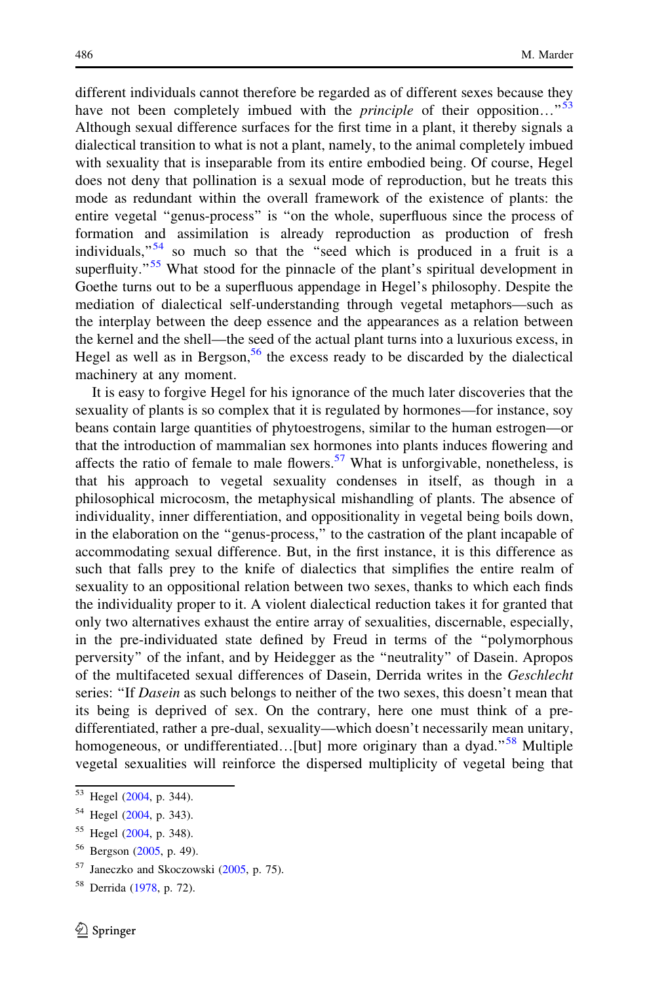different individuals cannot therefore be regarded as of different sexes because they have not been completely imbued with the *principle* of their opposition..."<sup>53</sup> Although sexual difference surfaces for the first time in a plant, it thereby signals a dialectical transition to what is not a plant, namely, to the animal completely imbued with sexuality that is inseparable from its entire embodied being. Of course, Hegel does not deny that pollination is a sexual mode of reproduction, but he treats this mode as redundant within the overall framework of the existence of plants: the entire vegetal ''genus-process'' is ''on the whole, superfluous since the process of formation and assimilation is already reproduction as production of fresh individuals," $54$  so much so that the "seed which is produced in a fruit is a superfluity. $\frac{55}{10}$  What stood for the pinnacle of the plant's spiritual development in Goethe turns out to be a superfluous appendage in Hegel's philosophy. Despite the mediation of dialectical self-understanding through vegetal metaphors—such as the interplay between the deep essence and the appearances as a relation between the kernel and the shell—the seed of the actual plant turns into a luxurious excess, in Hegel as well as in Bergson,  $56$  the excess ready to be discarded by the dialectical machinery at any moment.

It is easy to forgive Hegel for his ignorance of the much later discoveries that the sexuality of plants is so complex that it is regulated by hormones—for instance, soy beans contain large quantities of phytoestrogens, similar to the human estrogen—or that the introduction of mammalian sex hormones into plants induces flowering and affects the ratio of female to male flowers.<sup>57</sup> What is unforgivable, nonetheless, is that his approach to vegetal sexuality condenses in itself, as though in a philosophical microcosm, the metaphysical mishandling of plants. The absence of individuality, inner differentiation, and oppositionality in vegetal being boils down, in the elaboration on the ''genus-process,'' to the castration of the plant incapable of accommodating sexual difference. But, in the first instance, it is this difference as such that falls prey to the knife of dialectics that simplifies the entire realm of sexuality to an oppositional relation between two sexes, thanks to which each finds the individuality proper to it. A violent dialectical reduction takes it for granted that only two alternatives exhaust the entire array of sexualities, discernable, especially, in the pre-individuated state defined by Freud in terms of the ''polymorphous perversity'' of the infant, and by Heidegger as the ''neutrality'' of Dasein. Apropos of the multifaceted sexual differences of Dasein, Derrida writes in the Geschlecht series: "If *Dasein* as such belongs to neither of the two sexes, this doesn't mean that its being is deprived of sex. On the contrary, here one must think of a predifferentiated, rather a pre-dual, sexuality—which doesn't necessarily mean unitary, homogeneous, or undifferentiated...[but] more originary than a dyad."<sup>58</sup> Multiple vegetal sexualities will reinforce the dispersed multiplicity of vegetal being that

<sup>53</sup> Hegel [\(2004](#page-19-0), p. 344).

<sup>54</sup> Hegel [\(2004](#page-19-0), p. 343).

<sup>55</sup> Hegel [\(2004](#page-19-0), p. 348).

<sup>56</sup> Bergson ([2005,](#page-19-0) p. 49).

<sup>57</sup> Janeczko and Skoczowski ([2005,](#page-19-0) p. 75).

<sup>58</sup> Derrida ([1978,](#page-19-0) p. 72).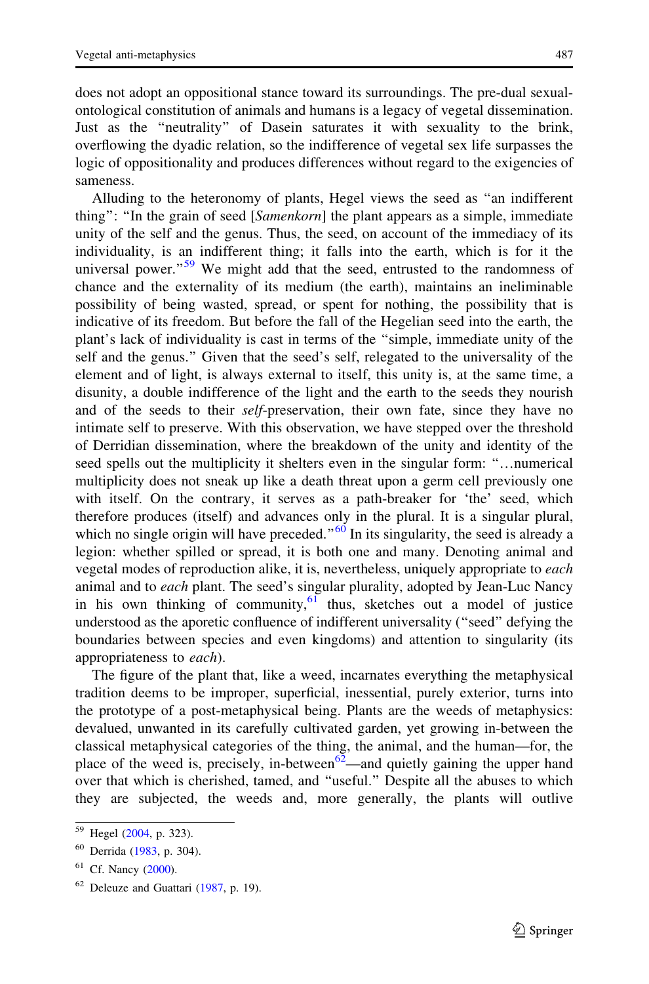does not adopt an oppositional stance toward its surroundings. The pre-dual sexualontological constitution of animals and humans is a legacy of vegetal dissemination. Just as the ''neutrality'' of Dasein saturates it with sexuality to the brink, overflowing the dyadic relation, so the indifference of vegetal sex life surpasses the logic of oppositionality and produces differences without regard to the exigencies of sameness.

Alluding to the heteronomy of plants, Hegel views the seed as ''an indifferent thing": "In the grain of seed [*Samenkorn*] the plant appears as a simple, immediate unity of the self and the genus. Thus, the seed, on account of the immediacy of its individuality, is an indifferent thing; it falls into the earth, which is for it the universal power."<sup>59</sup> We might add that the seed, entrusted to the randomness of chance and the externality of its medium (the earth), maintains an ineliminable possibility of being wasted, spread, or spent for nothing, the possibility that is indicative of its freedom. But before the fall of the Hegelian seed into the earth, the plant's lack of individuality is cast in terms of the ''simple, immediate unity of the self and the genus.'' Given that the seed's self, relegated to the universality of the element and of light, is always external to itself, this unity is, at the same time, a disunity, a double indifference of the light and the earth to the seeds they nourish and of the seeds to their self-preservation, their own fate, since they have no intimate self to preserve. With this observation, we have stepped over the threshold of Derridian dissemination, where the breakdown of the unity and identity of the seed spells out the multiplicity it shelters even in the singular form: ''…numerical multiplicity does not sneak up like a death threat upon a germ cell previously one with itself. On the contrary, it serves as a path-breaker for 'the' seed, which therefore produces (itself) and advances only in the plural. It is a singular plural, which no single origin will have preceded."<sup>60</sup> In its singularity, the seed is already a legion: whether spilled or spread, it is both one and many. Denoting animal and vegetal modes of reproduction alike, it is, nevertheless, uniquely appropriate to each animal and to each plant. The seed's singular plurality, adopted by Jean-Luc Nancy in his own thinking of community, <sup>61</sup> thus, sketches out a model of justice understood as the aporetic confluence of indifferent universality (''seed'' defying the boundaries between species and even kingdoms) and attention to singularity (its appropriateness to each).

The figure of the plant that, like a weed, incarnates everything the metaphysical tradition deems to be improper, superficial, inessential, purely exterior, turns into the prototype of a post-metaphysical being. Plants are the weeds of metaphysics: devalued, unwanted in its carefully cultivated garden, yet growing in-between the classical metaphysical categories of the thing, the animal, and the human—for, the place of the weed is, precisely, in-between $62$ —and quietly gaining the upper hand over that which is cherished, tamed, and ''useful.'' Despite all the abuses to which they are subjected, the weeds and, more generally, the plants will outlive

<sup>59</sup> Hegel [\(2004](#page-19-0), p. 323).

<sup>60</sup> Derrida ([1983,](#page-19-0) p. 304).

 $61$  Cf. Nancy ([2000\)](#page-19-0).

 $62$  Deleuze and Guattari [\(1987](#page-19-0), p. 19).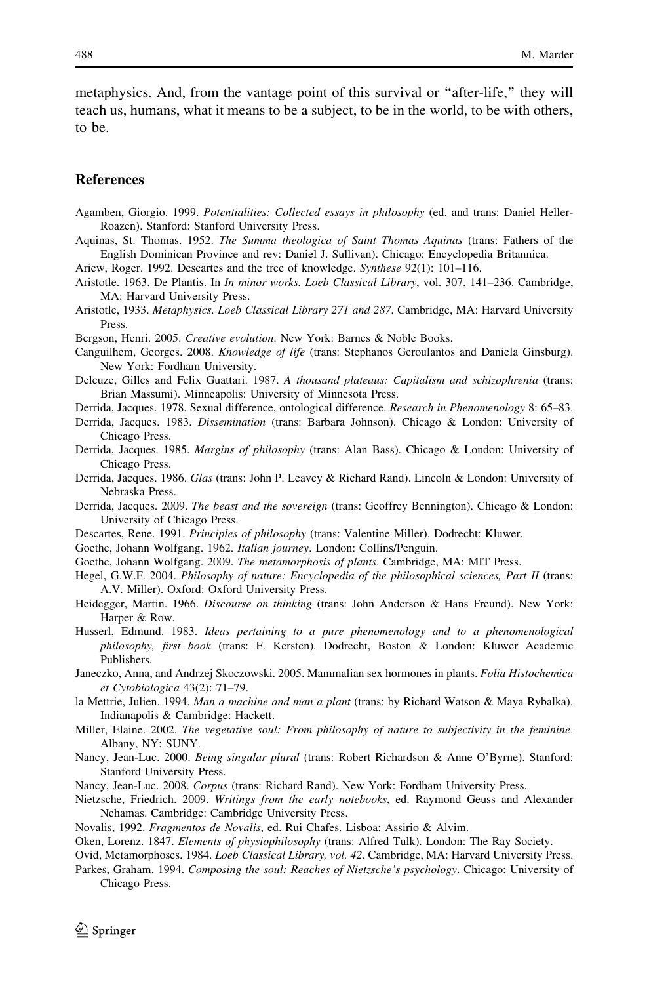<span id="page-19-0"></span>metaphysics. And, from the vantage point of this survival or ''after-life,'' they will teach us, humans, what it means to be a subject, to be in the world, to be with others, to be.

#### References

- Agamben, Giorgio. 1999. Potentialities: Collected essays in philosophy (ed. and trans: Daniel Heller-Roazen). Stanford: Stanford University Press.
- Aquinas, St. Thomas. 1952. The Summa theologica of Saint Thomas Aquinas (trans: Fathers of the English Dominican Province and rev: Daniel J. Sullivan). Chicago: Encyclopedia Britannica.

Ariew, Roger. 1992. Descartes and the tree of knowledge. Synthese 92(1): 101–116.

- Aristotle. 1963. De Plantis. In In minor works. Loeb Classical Library, vol. 307, 141–236. Cambridge, MA: Harvard University Press.
- Aristotle, 1933. Metaphysics. Loeb Classical Library 271 and 287. Cambridge, MA: Harvard University Press.

Bergson, Henri. 2005. Creative evolution. New York: Barnes & Noble Books.

- Canguilhem, Georges. 2008. Knowledge of life (trans: Stephanos Geroulantos and Daniela Ginsburg). New York: Fordham University.
- Deleuze, Gilles and Felix Guattari. 1987. A thousand plateaus: Capitalism and schizophrenia (trans: Brian Massumi). Minneapolis: University of Minnesota Press.
- Derrida, Jacques. 1978. Sexual difference, ontological difference. Research in Phenomenology 8: 65–83.
- Derrida, Jacques. 1983. Dissemination (trans: Barbara Johnson). Chicago & London: University of Chicago Press.
- Derrida, Jacques. 1985. *Margins of philosophy* (trans: Alan Bass). Chicago & London: University of Chicago Press.
- Derrida, Jacques. 1986. Glas (trans: John P. Leavey & Richard Rand). Lincoln & London: University of Nebraska Press.
- Derrida, Jacques. 2009. The beast and the sovereign (trans: Geoffrey Bennington). Chicago & London: University of Chicago Press.
- Descartes, Rene. 1991. Principles of philosophy (trans: Valentine Miller). Dodrecht: Kluwer.
- Goethe, Johann Wolfgang. 1962. Italian journey. London: Collins/Penguin.
- Goethe, Johann Wolfgang. 2009. The metamorphosis of plants. Cambridge, MA: MIT Press.
- Hegel, G.W.F. 2004. Philosophy of nature: Encyclopedia of the philosophical sciences, Part II (trans: A.V. Miller). Oxford: Oxford University Press.
- Heidegger, Martin. 1966. Discourse on thinking (trans: John Anderson & Hans Freund). New York: Harper & Row.
- Husserl, Edmund. 1983. Ideas pertaining to a pure phenomenology and to a phenomenological philosophy, first book (trans: F. Kersten). Dodrecht, Boston & London: Kluwer Academic Publishers.
- Janeczko, Anna, and Andrzej Skoczowski. 2005. Mammalian sex hormones in plants. Folia Histochemica et Cytobiologica 43(2): 71–79.
- la Mettrie, Julien. 1994. Man a machine and man a plant (trans: by Richard Watson & Maya Rybalka). Indianapolis & Cambridge: Hackett.
- Miller, Elaine. 2002. The vegetative soul: From philosophy of nature to subjectivity in the feminine. Albany, NY: SUNY.
- Nancy, Jean-Luc. 2000. Being singular plural (trans: Robert Richardson & Anne O'Byrne). Stanford: Stanford University Press.
- Nancy, Jean-Luc. 2008. Corpus (trans: Richard Rand). New York: Fordham University Press.
- Nietzsche, Friedrich. 2009. Writings from the early notebooks, ed. Raymond Geuss and Alexander Nehamas. Cambridge: Cambridge University Press.
- Novalis, 1992. Fragmentos de Novalis, ed. Rui Chafes. Lisboa: Assirio & Alvim.

Oken, Lorenz. 1847. Elements of physiophilosophy (trans: Alfred Tulk). London: The Ray Society.

Ovid, Metamorphoses. 1984. Loeb Classical Library, vol. 42. Cambridge, MA: Harvard University Press.

Parkes, Graham. 1994. Composing the soul: Reaches of Nietzsche's psychology. Chicago: University of Chicago Press.